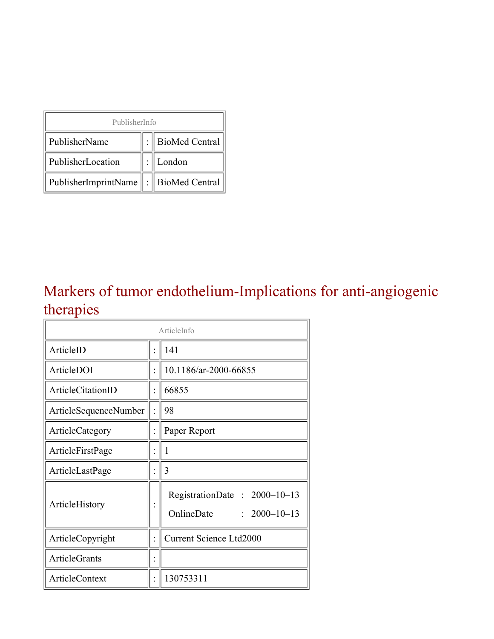| PublisherInfo                         |  |                    |  |  |
|---------------------------------------|--|--------------------|--|--|
| PublisherName                         |  | :   BioMed Central |  |  |
| PublisherLocation                     |  | London             |  |  |
| PublisherImprintName : BioMed Central |  |                    |  |  |

### Markers of tumor endothelium-Implications for anti-angiogenic therapies

| ArticleInfo           |  |                                                                  |
|-----------------------|--|------------------------------------------------------------------|
| ArticleID             |  | 141                                                              |
| ArticleDOI            |  | 10.1186/ar-2000-66855                                            |
| ArticleCitationID     |  | 66855                                                            |
| ArticleSequenceNumber |  | 98                                                               |
| ArticleCategory       |  | Paper Report                                                     |
| ArticleFirstPage      |  | 1                                                                |
| ArticleLastPage       |  | 3                                                                |
| ArticleHistory        |  | RegistrationDate: 2000-10-13<br>OnlineDate<br>$: 2000 - 10 - 13$ |
| ArticleCopyright      |  | <b>Current Science Ltd2000</b>                                   |
| <b>ArticleGrants</b>  |  |                                                                  |
| ArticleContext        |  | 130753311                                                        |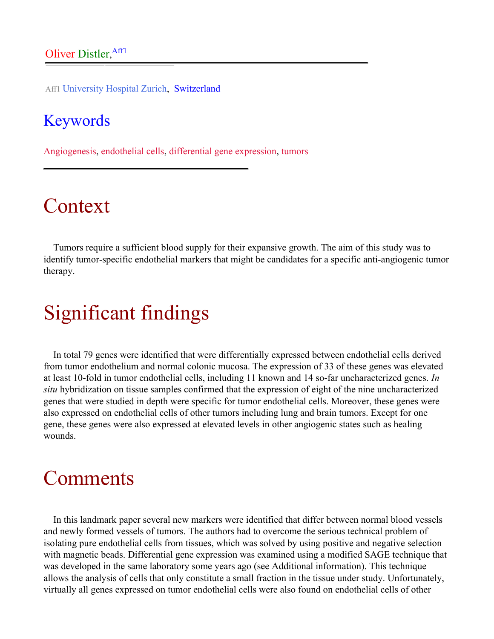Aff1 University Hospital Zurich, Switzerland

#### Keywords

Angiogenesis, endothelial cells, differential gene expression, tumors

## Context

Tumors require a sufficient blood supply for their expansive growth. The aim of this study was to identify tumor-specific endothelial markers that might be candidates for a specific anti-angiogenic tumor therapy.

# Significant findings

In total 79 genes were identified that were differentially expressed between endothelial cells derived from tumor endothelium and normal colonic mucosa. The expression of 33 of these genes was elevated at least 10-fold in tumor endothelial cells, including 11 known and 14 so-far uncharacterized genes. *In situ* hybridization on tissue samples confirmed that the expression of eight of the nine uncharacterized genes that were studied in depth were specific for tumor endothelial cells. Moreover, these genes were also expressed on endothelial cells of other tumors including lung and brain tumors. Except for one gene, these genes were also expressed at elevated levels in other angiogenic states such as healing wounds.

## Comments

In this landmark paper several new markers were identified that differ between normal blood vessels and newly formed vessels of tumors. The authors had to overcome the serious technical problem of isolating pure endothelial cells from tissues, which was solved by using positive and negative selection with magnetic beads. Differential gene expression was examined using a modified SAGE technique that was developed in the same laboratory some years ago (see Additional information). This technique allows the analysis of cells that only constitute a small fraction in the tissue under study. Unfortunately, virtually all genes expressed on tumor endothelial cells were also found on endothelial cells of other